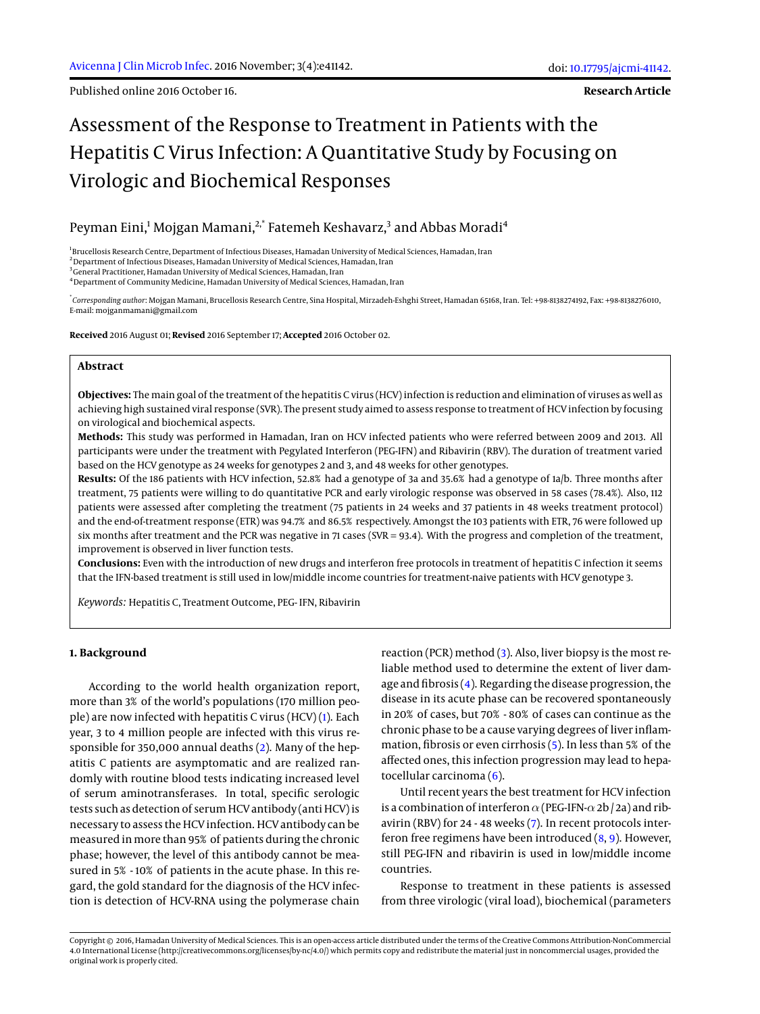Published online 2016 October 16.

**Research Article**

# Assessment of the Response to Treatment in Patients with the Hepatitis C Virus Infection: A Quantitative Study by Focusing on Virologic and Biochemical Responses

## Peyman Eini,<sup>1</sup> Mojgan Mamani,<sup>2,\*</sup> Fatemeh Keshavarz,<sup>3</sup> and Abbas Moradi<sup>4</sup>

<sup>1</sup>Brucellosis Research Centre, Department of Infectious Diseases, Hamadan University of Medical Sciences, Hamadan, Iran

<sup>2</sup>Department of Infectious Diseases, Hamadan University of Medical Sciences, Hamadan, Iran

<sup>3</sup> General Practitioner, Hamadan University of Medical Sciences, Hamadan, Iran

<sup>4</sup>Department of Community Medicine, Hamadan University of Medical Sciences, Hamadan, Iran

\* *Corresponding author*: Mojgan Mamani, Brucellosis Research Centre, Sina Hospital, Mirzadeh-Eshghi Street, Hamadan 65168, Iran. Tel: +98-8138274192, Fax: +98-8138276010, E-mail: mojganmamani@gmail.com

**Received** 2016 August 01; **Revised** 2016 September 17; **Accepted** 2016 October 02.

#### **Abstract**

**Objectives:** The main goal of the treatment of the hepatitis C virus (HCV) infection is reduction and elimination of viruses as well as achieving high sustained viral response (SVR). The present study aimed to assess response to treatment of HCV infection by focusing on virological and biochemical aspects.

**Methods:** This study was performed in Hamadan, Iran on HCV infected patients who were referred between 2009 and 2013. All participants were under the treatment with Pegylated Interferon (PEG-IFN) and Ribavirin (RBV). The duration of treatment varied based on the HCV genotype as 24 weeks for genotypes 2 and 3, and 48 weeks for other genotypes.

**Results:** Of the 186 patients with HCV infection, 52.8% had a genotype of 3a and 35.6% had a genotype of 1a/b. Three months after treatment, 75 patients were willing to do quantitative PCR and early virologic response was observed in 58 cases (78.4%). Also, 112 patients were assessed after completing the treatment (75 patients in 24 weeks and 37 patients in 48 weeks treatment protocol) and the end-of-treatment response (ETR) was 94.7% and 86.5% respectively. Amongst the 103 patients with ETR, 76 were followed up six months after treatment and the PCR was negative in 71 cases (SVR = 93.4). With the progress and completion of the treatment, improvement is observed in liver function tests.

**Conclusions:** Even with the introduction of new drugs and interferon free protocols in treatment of hepatitis C infection it seems that the IFN-based treatment is still used in low/middle income countries for treatment-naive patients with HCV genotype 3.

*Keywords:* Hepatitis C, Treatment Outcome, PEG- IFN, Ribavirin

#### **1. Background**

According to the world health organization report, more than 3% of the world's populations (170 million people) are now infected with hepatitis C virus (HCV) [\(1\)](#page-3-0). Each year, 3 to 4 million people are infected with this virus responsible for 350,000 annual deaths [\(2\)](#page-3-1). Many of the hepatitis C patients are asymptomatic and are realized randomly with routine blood tests indicating increased level of serum aminotransferases. In total, specific serologic tests such as detection of serum HCV antibody (anti HCV) is necessary to assess the HCV infection. HCV antibody can be measured in more than 95% of patients during the chronic phase; however, the level of this antibody cannot be measured in 5% - 10% of patients in the acute phase. In this regard, the gold standard for the diagnosis of the HCV infection is detection of HCV-RNA using the polymerase chain

reaction (PCR) method [\(3\)](#page-3-2). Also, liver biopsy is the most reliable method used to determine the extent of liver damage and fibrosis [\(4\)](#page-3-3). Regarding the disease progression, the disease in its acute phase can be recovered spontaneously in 20% of cases, but 70% - 80% of cases can continue as the chronic phase to be a cause varying degrees of liver inflammation, fibrosis or even cirrhosis [\(5\)](#page-3-4). In less than 5% of the affected ones, this infection progression may lead to hepatocellular carcinoma [\(6\)](#page-3-5).

Until recent years the best treatment for HCV infection is a combination of interferon  $\alpha$  (PEG-IFN- $\alpha$  2b / 2a) and ribavirin (RBV) for 24 - 48 weeks [\(7\)](#page-3-6). In recent protocols interferon free regimens have been introduced [\(8,](#page-3-7) [9\)](#page-3-8). However, still PEG-IFN and ribavirin is used in low/middle income countries.

Response to treatment in these patients is assessed from three virologic (viral load), biochemical (parameters

Copyright © 2016, Hamadan University of Medical Sciences. This is an open-access article distributed under the terms of the Creative Commons Attribution-NonCommercial 4.0 International License (http://creativecommons.org/licenses/by-nc/4.0/) which permits copy and redistribute the material just in noncommercial usages, provided the original work is properly cited.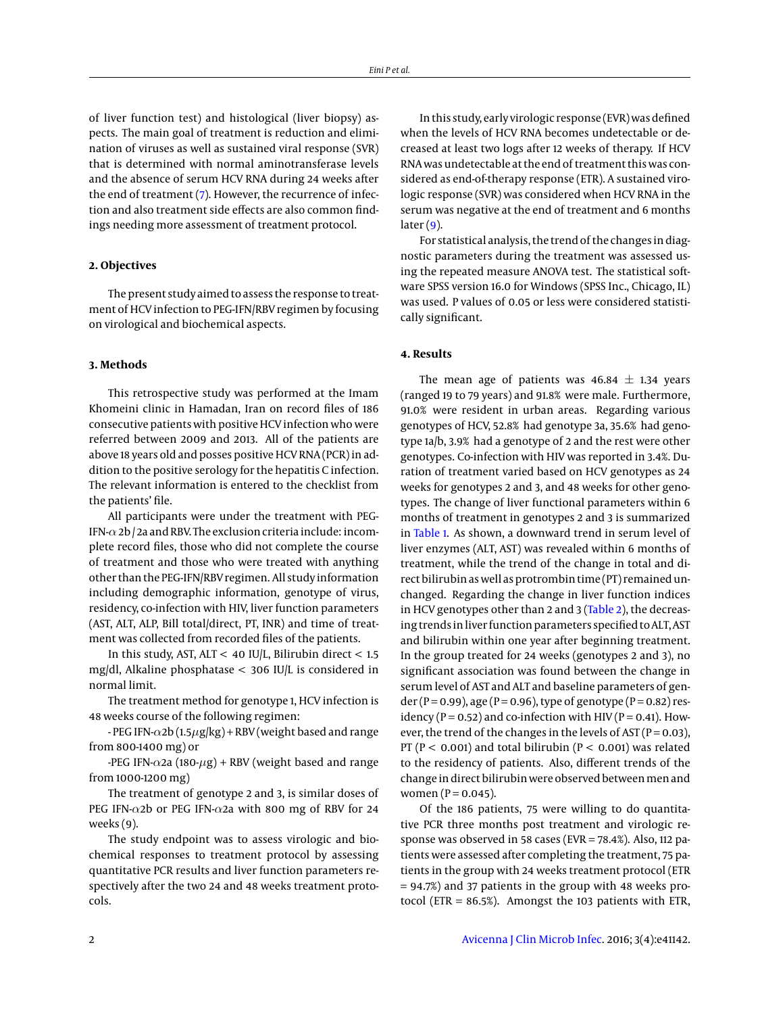of liver function test) and histological (liver biopsy) aspects. The main goal of treatment is reduction and elimination of viruses as well as sustained viral response (SVR) that is determined with normal aminotransferase levels and the absence of serum HCV RNA during 24 weeks after the end of treatment [\(7\)](#page-3-6). However, the recurrence of infection and also treatment side effects are also common findings needing more assessment of treatment protocol.

### **2. Objectives**

The present study aimed to assess the response to treatment of HCV infection to PEG-IFN/RBV regimen by focusing on virological and biochemical aspects.

#### **3. Methods**

This retrospective study was performed at the Imam Khomeini clinic in Hamadan, Iran on record files of 186 consecutive patients with positive HCV infection who were referred between 2009 and 2013. All of the patients are above 18 years old and posses positive HCV RNA (PCR) in addition to the positive serology for the hepatitis C infection. The relevant information is entered to the checklist from the patients' file.

All participants were under the treatment with PEG-IFN- $\alpha$  2b / 2a and RBV. The exclusion criteria include: incomplete record files, those who did not complete the course of treatment and those who were treated with anything other than the PEG-IFN/RBV regimen. All study information including demographic information, genotype of virus, residency, co-infection with HIV, liver function parameters (AST, ALT, ALP, Bill total/direct, PT, INR) and time of treatment was collected from recorded files of the patients.

In this study, AST, ALT < 40 IU/L, Bilirubin direct <  $1.5$ mg/dl, Alkaline phosphatase < 306 IU/L is considered in normal limit.

The treatment method for genotype 1, HCV infection is 48 weeks course of the following regimen:

 $-$  PEG IFN- $\alpha$ 2b (1.5 $\mu$ g/kg) + RBV (weight based and range from 800-1400 mg) or

-PEG IFN- $\alpha$ 2a (180- $\mu$ g) + RBV (weight based and range from 1000-1200 mg)

The treatment of genotype 2 and 3, is similar doses of PEG IFN- $\alpha$ 2b or PEG IFN- $\alpha$ 2a with 800 mg of RBV for 24 weeks (9).

The study endpoint was to assess virologic and biochemical responses to treatment protocol by assessing quantitative PCR results and liver function parameters respectively after the two 24 and 48 weeks treatment protocols.

In this study, early virologic response (EVR) was defined when the levels of HCV RNA becomes undetectable or decreased at least two logs after 12 weeks of therapy. If HCV RNA was undetectable at the end of treatment this was considered as end-of-therapy response (ETR). A sustained virologic response (SVR) was considered when HCV RNA in the serum was negative at the end of treatment and 6 months  $later (9).$  $later (9).$  $later (9).$ 

For statistical analysis, the trend of the changes in diagnostic parameters during the treatment was assessed using the repeated measure ANOVA test. The statistical software SPSS version 16.0 for Windows (SPSS Inc., Chicago, IL) was used. P values of 0.05 or less were considered statistically significant.

#### **4. Results**

The mean age of patients was  $46.84 \pm 1.34$  years (ranged 19 to 79 years) and 91.8% were male. Furthermore, 91.0% were resident in urban areas. Regarding various genotypes of HCV, 52.8% had genotype 3a, 35.6% had genotype 1a/b, 3.9% had a genotype of 2 and the rest were other genotypes. Co-infection with HIV was reported in 3.4%. Duration of treatment varied based on HCV genotypes as 24 weeks for genotypes 2 and 3, and 48 weeks for other genotypes. The change of liver functional parameters within 6 months of treatment in genotypes 2 and 3 is summarized in [Table 1.](#page-2-0) As shown, a downward trend in serum level of liver enzymes (ALT, AST) was revealed within 6 months of treatment, while the trend of the change in total and direct bilirubin as well as protrombin time (PT) remained unchanged. Regarding the change in liver function indices in HCV genotypes other than 2 and 3 [\(Table 2\)](#page-2-1), the decreasing trends in liver function parameters specified to ALT, AST and bilirubin within one year after beginning treatment. In the group treated for 24 weeks (genotypes 2 and 3), no significant association was found between the change in serum level of AST and ALT and baseline parameters of gender (P = 0.99), age (P = 0.96), type of genotype (P = 0.82) residency (P =  $0.52$ ) and co-infection with HIV (P =  $0.41$ ). However, the trend of the changes in the levels of  $AST (P = 0.03)$ , PT ( $P < 0.001$ ) and total bilirubin ( $P < 0.001$ ) was related to the residency of patients. Also, different trends of the change in direct bilirubin were observed between men and women ( $P = 0.045$ ).

Of the 186 patients, 75 were willing to do quantitative PCR three months post treatment and virologic response was observed in 58 cases (EVR = 78.4%). Also, 112 patients were assessed after completing the treatment, 75 patients in the group with 24 weeks treatment protocol (ETR = 94.7%) and 37 patients in the group with 48 weeks protocol (ETR = 86.5%). Amongst the 103 patients with ETR,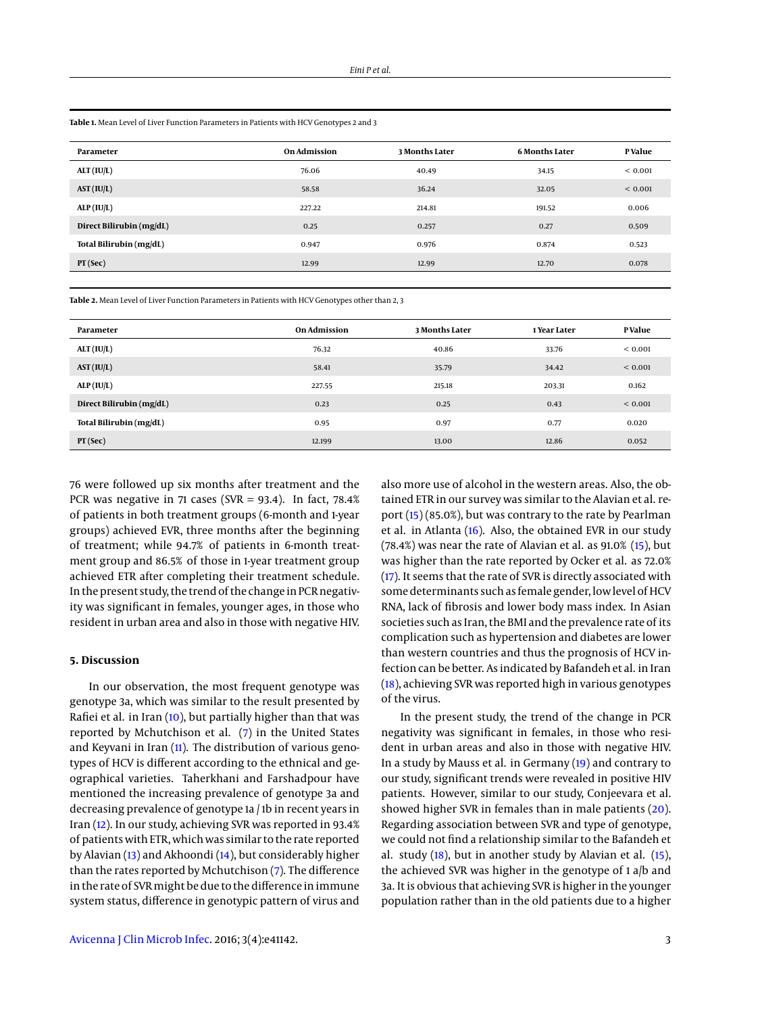<span id="page-2-0"></span>**Table 1.** Mean Level of Liver Function Parameters in Patients with HCV Genotypes 2 and 3

| <b>PValue</b> |
|---------------|
| ${}< 0.001$   |
| ${}< 0.001$   |
| 0.006         |
| 0.509         |
| 0.523         |
| 0.078         |
|               |

<span id="page-2-1"></span>**Table 2.** Mean Level of Liver Function Parameters in Patients with HCV Genotypes other than 2, 3

| Parameter                | <b>On Admission</b> | 3 Months Later | 1 Year Later | P Value      |
|--------------------------|---------------------|----------------|--------------|--------------|
| ALT(IU/L)                | 76.32               | 40.86          | 33.76        | ${}_{0.001}$ |
| AST (IU/L)               | 58.41               | 35.79          | 34.42        | ${}_{0.001}$ |
| ALP (IU/L)               | 227.55              | 215.18         | 203.31       | 0.162        |
| Direct Bilirubin (mg/dL) | 0.23                | 0.25           | 0.43         | ${}_{0.001}$ |
| Total Bilirubin (mg/dL)  | 0.95                | 0.97           | 0.77         | 0.020        |
| PT(Sec)                  | 12.199              | 13.00          | 12.86        | 0.052        |

76 were followed up six months after treatment and the PCR was negative in 71 cases (SVR =  $93.4$ ). In fact, 78.4% of patients in both treatment groups (6-month and 1-year groups) achieved EVR, three months after the beginning of treatment; while 94.7% of patients in 6-month treatment group and 86.5% of those in 1-year treatment group achieved ETR after completing their treatment schedule. In the present study, the trend of the change in PCR negativity was significant in females, younger ages, in those who resident in urban area and also in those with negative HIV.

#### **5. Discussion**

In our observation, the most frequent genotype was genotype 3a, which was similar to the result presented by Rafiei et al. in Iran [\(10\)](#page-3-9), but partially higher than that was reported by Mchutchison et al. [\(7\)](#page-3-6) in the United States and Keyvani in Iran [\(11\)](#page-3-10). The distribution of various genotypes of HCV is different according to the ethnical and geographical varieties. Taherkhani and Farshadpour have mentioned the increasing prevalence of genotype 3a and decreasing prevalence of genotype 1a / 1b in recent years in Iran [\(12\)](#page-3-11). In our study, achieving SVR was reported in 93.4% of patients with ETR, which was similar to the rate reported by Alavian [\(13\)](#page-3-12) and Akhoondi [\(14\)](#page-3-13), but considerably higher than the rates reported by Mchutchison [\(7\)](#page-3-6). The difference in the rate of SVRmight be due to the difference in immune system status, difference in genotypic pattern of virus and

also more use of alcohol in the western areas. Also, the obtained ETR in our survey was similar to the Alavian et al. report [\(15\)](#page-3-14) (85.0%), but was contrary to the rate by Pearlman et al. in Atlanta [\(16\)](#page-3-15). Also, the obtained EVR in our study (78.4%) was near the rate of Alavian et al. as 91.0% [\(15\)](#page-3-14), but was higher than the rate reported by Ocker et al. as 72.0% [\(17\)](#page-3-16). It seems that the rate of SVR is directly associated with some determinants such as female gender, low level of HCV RNA, lack of fibrosis and lower body mass index. In Asian societies such as Iran, the BMI and the prevalence rate of its complication such as hypertension and diabetes are lower than western countries and thus the prognosis of HCV infection can be better. As indicated by Bafandeh et al. in Iran [\(18\)](#page-4-0), achieving SVR was reported high in various genotypes of the virus.

In the present study, the trend of the change in PCR negativity was significant in females, in those who resident in urban areas and also in those with negative HIV. In a study by Mauss et al. in Germany [\(19\)](#page-4-1) and contrary to our study, significant trends were revealed in positive HIV patients. However, similar to our study, Conjeevara et al. showed higher SVR in females than in male patients [\(20\)](#page-4-2). Regarding association between SVR and type of genotype, we could not find a relationship similar to the Bafandeh et al. study [\(18\)](#page-4-0), but in another study by Alavian et al. [\(15\)](#page-3-14), the achieved SVR was higher in the genotype of 1 a/b and 3a. It is obvious that achieving SVR is higher in the younger population rather than in the old patients due to a higher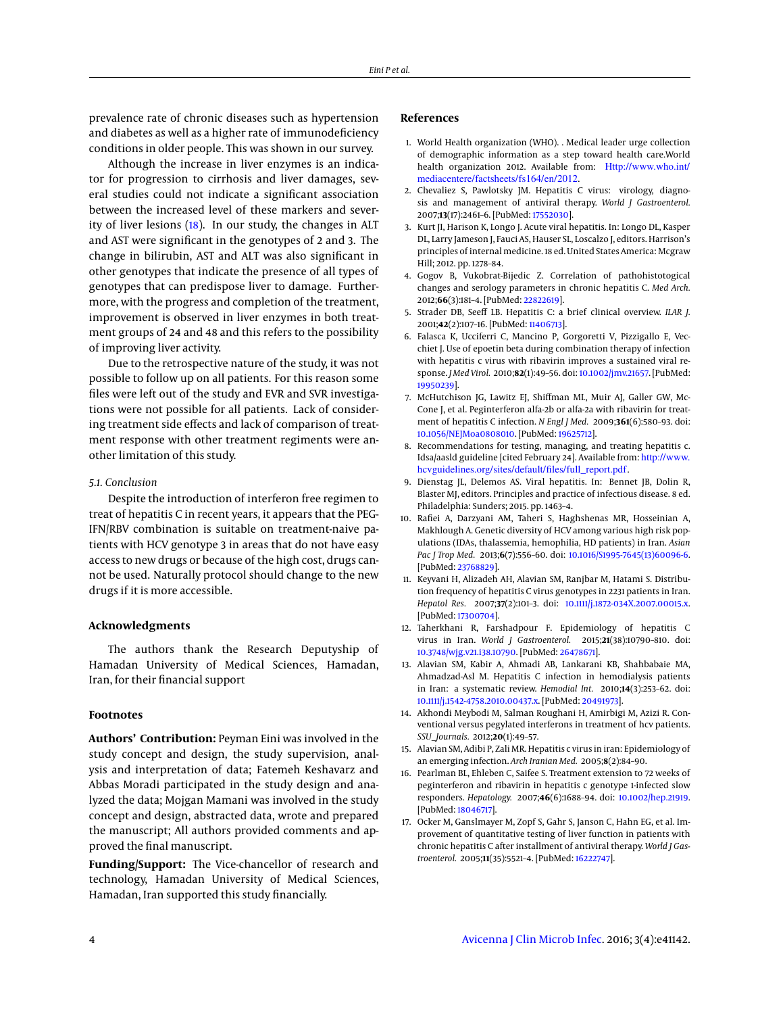prevalence rate of chronic diseases such as hypertension and diabetes as well as a higher rate of immunodeficiency conditions in older people. This was shown in our survey.

Although the increase in liver enzymes is an indicator for progression to cirrhosis and liver damages, several studies could not indicate a significant association between the increased level of these markers and severity of liver lesions [\(18\)](#page-4-0). In our study, the changes in ALT and AST were significant in the genotypes of 2 and 3. The change in bilirubin, AST and ALT was also significant in other genotypes that indicate the presence of all types of genotypes that can predispose liver to damage. Furthermore, with the progress and completion of the treatment, improvement is observed in liver enzymes in both treatment groups of 24 and 48 and this refers to the possibility of improving liver activity.

Due to the retrospective nature of the study, it was not possible to follow up on all patients. For this reason some files were left out of the study and EVR and SVR investigations were not possible for all patients. Lack of considering treatment side effects and lack of comparison of treatment response with other treatment regiments were another limitation of this study.

#### *5.1. Conclusion*

Despite the introduction of interferon free regimen to treat of hepatitis C in recent years, it appears that the PEG-IFN/RBV combination is suitable on treatment-naive patients with HCV genotype 3 in areas that do not have easy access to new drugs or because of the high cost, drugs cannot be used. Naturally protocol should change to the new drugs if it is more accessible.

#### **Acknowledgments**

The authors thank the Research Deputyship of Hamadan University of Medical Sciences, Hamadan, Iran, for their financial support

#### **Footnotes**

**Authors' Contribution:** Peyman Eini was involved in the study concept and design, the study supervision, analysis and interpretation of data; Fatemeh Keshavarz and Abbas Moradi participated in the study design and analyzed the data; Mojgan Mamani was involved in the study concept and design, abstracted data, wrote and prepared the manuscript; All authors provided comments and approved the final manuscript.

**Funding/Support:** The Vice-chancellor of research and technology, Hamadan University of Medical Sciences, Hamadan, Iran supported this study financially.

#### **References**

- <span id="page-3-0"></span>1. World Health organization (WHO). . Medical leader urge collection of demographic information as a step toward health care.World health organization 2012. Available from: [Http://www.who.int/](Http://www.who.int/mediacentere/factsheets/fs164/en/2012) [mediacentere/factsheets/fs164/en/2012](Http://www.who.int/mediacentere/factsheets/fs164/en/2012).
- <span id="page-3-1"></span>2. Chevaliez S, Pawlotsky JM. Hepatitis C virus: virology, diagnosis and management of antiviral therapy. *World J Gastroenterol.* 2007;**13**(17):2461–6. [PubMed: [17552030\]](http://www.ncbi.nlm.nih.gov/pubmed/17552030).
- <span id="page-3-2"></span>3. Kurt JI, Harison K, Longo J. Acute viral hepatitis. In: Longo DL, Kasper DL, Larry Jameson J, Fauci AS, Hauser SL, Loscalzo J, editors. Harrison's principles of internal medicine. 18 ed. United States America: Mcgraw Hill; 2012. pp. 1278–84.
- <span id="page-3-3"></span>4. Gogov B, Vukobrat-Bijedic Z. Correlation of pathohistotogical changes and serology parameters in chronic hepatitis C. *Med Arch.* 2012;**66**(3):181–4. [PubMed: [22822619\]](http://www.ncbi.nlm.nih.gov/pubmed/22822619).
- <span id="page-3-4"></span>5. Strader DB, Seeff LB. Hepatitis C: a brief clinical overview. *ILAR J.* 2001;**42**(2):107–16. [PubMed: [11406713\]](http://www.ncbi.nlm.nih.gov/pubmed/11406713).
- <span id="page-3-5"></span>6. Falasca K, Ucciferri C, Mancino P, Gorgoretti V, Pizzigallo E, Vecchiet J. Use of epoetin beta during combination therapy of infection with hepatitis c virus with ribavirin improves a sustained viral response. *J Med Virol.* 2010;**82**(1):49–56. doi: [10.1002/jmv.21657.](http://dx.doi.org/10.1002/jmv.21657) [PubMed: [19950239\]](http://www.ncbi.nlm.nih.gov/pubmed/19950239).
- <span id="page-3-6"></span>7. McHutchison JG, Lawitz EJ, Shiffman ML, Muir AJ, Galler GW, Mc-Cone J, et al. Peginterferon alfa-2b or alfa-2a with ribavirin for treatment of hepatitis C infection. *N Engl J Med.* 2009;**361**(6):580–93. doi: [10.1056/NEJMoa0808010.](http://dx.doi.org/10.1056/NEJMoa0808010) [PubMed: [19625712\]](http://www.ncbi.nlm.nih.gov/pubmed/19625712).
- <span id="page-3-7"></span>8. Recommendations for testing, managing, and treating hepatitis c. Idsa/aasld guideline [cited February 24]. Available from: [http://www.](http://www.hcvguidelines.org/sites/default/files/full_report.pdf) [hcvguidelines.org/sites/default/files/full\\_report.pdf](http://www.hcvguidelines.org/sites/default/files/full_report.pdf).
- <span id="page-3-8"></span>9. Dienstag JL, Delemos AS. Viral hepatitis. In: Bennet JB, Dolin R, Blaster MJ, editors. Principles and practice of infectious disease. 8 ed. Philadelphia: Sunders; 2015. pp. 1463–4.
- <span id="page-3-9"></span>10. Rafiei A, Darzyani AM, Taheri S, Haghshenas MR, Hosseinian A, Makhlough A. Genetic diversity of HCV among various high risk populations (IDAs, thalassemia, hemophilia, HD patients) in Iran. *Asian Pac J Trop Med.* 2013;**6**(7):556–60. doi: [10.1016/S1995-7645\(13\)60096-6.](http://dx.doi.org/10.1016/S1995-7645(13)60096-6) [PubMed: [23768829\]](http://www.ncbi.nlm.nih.gov/pubmed/23768829).
- <span id="page-3-10"></span>11. Keyvani H, Alizadeh AH, Alavian SM, Ranjbar M, Hatami S. Distribution frequency of hepatitis C virus genotypes in 2231 patients in Iran. *Hepatol Res.* 2007;**37**(2):101–3. doi: [10.1111/j.1872-034X.2007.00015.x.](http://dx.doi.org/10.1111/j.1872-034X.2007.00015.x) [PubMed: [17300704\]](http://www.ncbi.nlm.nih.gov/pubmed/17300704).
- <span id="page-3-11"></span>12. Taherkhani R, Farshadpour F. Epidemiology of hepatitis C virus in Iran. *World J Gastroenterol.* 2015;**21**(38):10790–810. doi: [10.3748/wjg.v21.i38.10790.](http://dx.doi.org/10.3748/wjg.v21.i38.10790) [PubMed: [26478671\]](http://www.ncbi.nlm.nih.gov/pubmed/26478671).
- <span id="page-3-12"></span>13. Alavian SM, Kabir A, Ahmadi AB, Lankarani KB, Shahbabaie MA, Ahmadzad-Asl M. Hepatitis C infection in hemodialysis patients in Iran: a systematic review. *Hemodial Int.* 2010;**14**(3):253–62. doi: [10.1111/j.1542-4758.2010.00437.x.](http://dx.doi.org/10.1111/j.1542-4758.2010.00437.x) [PubMed: [20491973\]](http://www.ncbi.nlm.nih.gov/pubmed/20491973).
- <span id="page-3-13"></span>14. Akhondi Meybodi M, Salman Roughani H, Amirbigi M, Azizi R. Conventional versus pegylated interferons in treatment of hcv patients. *SSU\_Journals.* 2012;**20**(1):49–57.
- <span id="page-3-14"></span>15. Alavian SM, Adibi P, Zali MR. Hepatitis c virus in iran: Epidemiology of an emerging infection. *Arch Iranian Med.* 2005;**8**(2):84–90.
- <span id="page-3-15"></span>16. Pearlman BL, Ehleben C, Saifee S. Treatment extension to 72 weeks of peginterferon and ribavirin in hepatitis c genotype 1-infected slow responders. *Hepatology.* 2007;**46**(6):1688–94. doi: [10.1002/hep.21919.](http://dx.doi.org/10.1002/hep.21919) [PubMed: [18046717\]](http://www.ncbi.nlm.nih.gov/pubmed/18046717).
- <span id="page-3-16"></span>17. Ocker M, Ganslmayer M, Zopf S, Gahr S, Janson C, Hahn EG, et al. Improvement of quantitative testing of liver function in patients with chronic hepatitis C after installment of antiviral therapy. *World J Gastroenterol.* 2005;**11**(35):5521–4. [PubMed: [16222747\]](http://www.ncbi.nlm.nih.gov/pubmed/16222747).